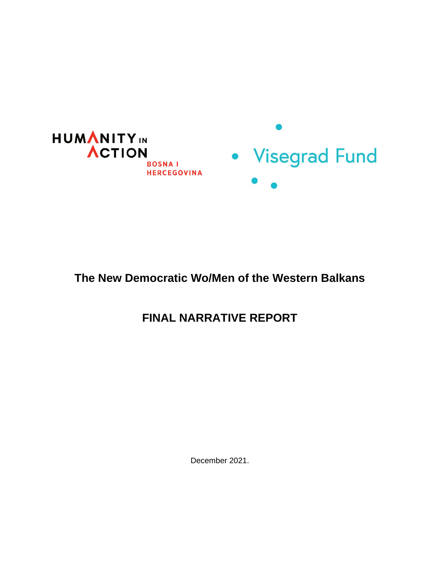

## **The New Democratic Wo/Men of the Western Balkans**

# **FINAL NARRATIVE REPORT**

December 2021.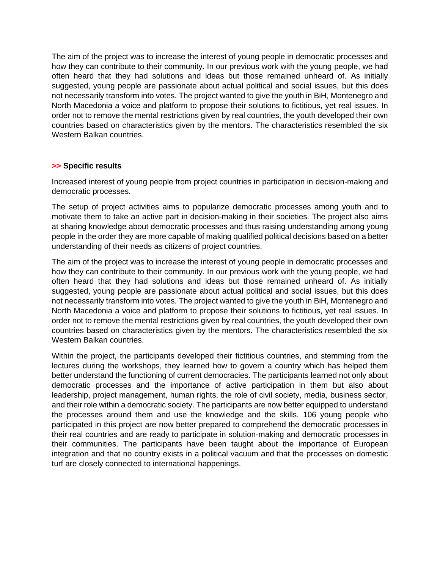The aim of the project was to increase the interest of young people in democratic processes and how they can contribute to their community. In our previous work with the young people, we had often heard that they had solutions and ideas but those remained unheard of. As initially suggested, young people are passionate about actual political and social issues, but this does not necessarily transform into votes. The project wanted to give the youth in BiH, Montenegro and North Macedonia a voice and platform to propose their solutions to fictitious, yet real issues. In order not to remove the mental restrictions given by real countries, the youth developed their own countries based on characteristics given by the mentors. The characteristics resembled the six Western Balkan countries.

## **>> Specific results**

Increased interest of young people from project countries in participation in decision-making and democratic processes.

The setup of project activities aims to popularize democratic processes among youth and to motivate them to take an active part in decision-making in their societies. The project also aims at sharing knowledge about democratic processes and thus raising understanding among young people in the order they are more capable of making qualified political decisions based on a better understanding of their needs as citizens of project countries.

The aim of the project was to increase the interest of young people in democratic processes and how they can contribute to their community. In our previous work with the young people, we had often heard that they had solutions and ideas but those remained unheard of. As initially suggested, young people are passionate about actual political and social issues, but this does not necessarily transform into votes. The project wanted to give the youth in BiH, Montenegro and North Macedonia a voice and platform to propose their solutions to fictitious, yet real issues. In order not to remove the mental restrictions given by real countries, the youth developed their own countries based on characteristics given by the mentors. The characteristics resembled the six Western Balkan countries.

Within the project, the participants developed their fictitious countries, and stemming from the lectures during the workshops, they learned how to govern a country which has helped them better understand the functioning of current democracies. The participants learned not only about democratic processes and the importance of active participation in them but also about leadership, project management, human rights, the role of civil society, media, business sector, and their role within a democratic society. The participants are now better equipped to understand the processes around them and use the knowledge and the skills. 106 young people who participated in this project are now better prepared to comprehend the democratic processes in their real countries and are ready to participate in solution-making and democratic processes in their communities. The participants have been taught about the importance of European integration and that no country exists in a political vacuum and that the processes on domestic turf are closely connected to international happenings.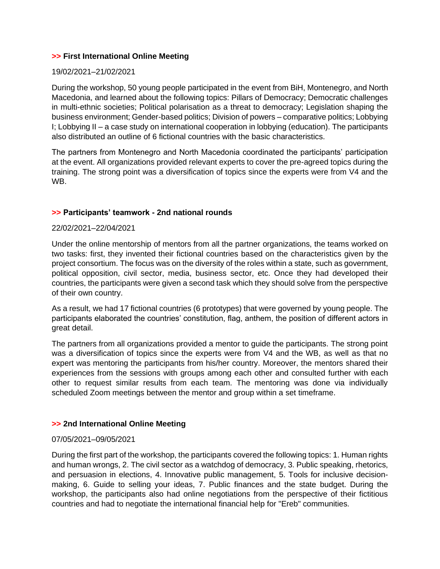## **>> First International Online Meeting**

#### 19/02/2021–21/02/2021

During the workshop, 50 young people participated in the event from BiH, Montenegro, and North Macedonia, and learned about the following topics: Pillars of Democracy; Democratic challenges in multi-ethnic societies; Political polarisation as a threat to democracy; Legislation shaping the business environment; Gender-based politics; Division of powers – comparative politics; Lobbying I; Lobbying II – a case study on international cooperation in lobbying (education). The participants also distributed an outline of 6 fictional countries with the basic characteristics.

The partners from Montenegro and North Macedonia coordinated the participants' participation at the event. All organizations provided relevant experts to cover the pre-agreed topics during the training. The strong point was a diversification of topics since the experts were from V4 and the WB.

## **>> Participants' teamwork - 2nd national rounds**

#### 22/02/2021–22/04/2021

Under the online mentorship of mentors from all the partner organizations, the teams worked on two tasks: first, they invented their fictional countries based on the characteristics given by the project consortium. The focus was on the diversity of the roles within a state, such as government, political opposition, civil sector, media, business sector, etc. Once they had developed their countries, the participants were given a second task which they should solve from the perspective of their own country.

As a result, we had 17 fictional countries (6 prototypes) that were governed by young people. The participants elaborated the countries' constitution, flag, anthem, the position of different actors in great detail.

The partners from all organizations provided a mentor to guide the participants. The strong point was a diversification of topics since the experts were from V4 and the WB, as well as that no expert was mentoring the participants from his/her country. Moreover, the mentors shared their experiences from the sessions with groups among each other and consulted further with each other to request similar results from each team. The mentoring was done via individually scheduled Zoom meetings between the mentor and group within a set timeframe.

#### **>> 2nd International Online Meeting**

#### 07/05/2021–09/05/2021

During the first part of the workshop, the participants covered the following topics: 1. Human rights and human wrongs, 2. The civil sector as a watchdog of democracy, 3. Public speaking, rhetorics, and persuasion in elections, 4. Innovative public management, 5. Tools for inclusive decisionmaking, 6. Guide to selling your ideas, 7. Public finances and the state budget. During the workshop, the participants also had online negotiations from the perspective of their fictitious countries and had to negotiate the international financial help for "Ereb" communities.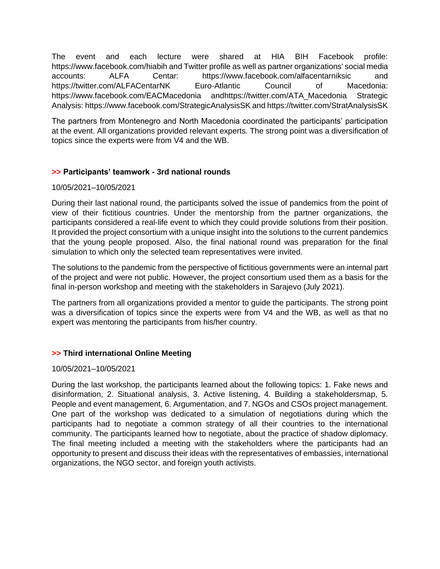The event and each lecture were shared at HIA BIH Facebook profile: https://www.facebook.com/hiabih and Twitter profile as well as partner organizations' social media accounts: ALFA Centar: https://www.facebook.com/alfacentarniksic and https://twitter.com/ALFACentarNK Euro-Atlantic Council of Macedonia: https://www.facebook.com/EACMacedonia andhttps://twitter.com/ATA\_Macedonia Strategic Analysis: https://www.facebook.com/StrategicAnalysisSK and https://twitter.com/StratAnalysisSK

The partners from Montenegro and North Macedonia coordinated the participants' participation at the event. All organizations provided relevant experts. The strong point was a diversification of topics since the experts were from V4 and the WB.

## **>> Participants' teamwork - 3rd national rounds**

## 10/05/2021–10/05/2021

During their last national round, the participants solved the issue of pandemics from the point of view of their fictitious countries. Under the mentorship from the partner organizations, the participants considered a real-life event to which they could provide solutions from their position. It provided the project consortium with a unique insight into the solutions to the current pandemics that the young people proposed. Also, the final national round was preparation for the final simulation to which only the selected team representatives were invited.

The solutions to the pandemic from the perspective of fictitious governments were an internal part of the project and were not public. However, the project consortium used them as a basis for the final in-person workshop and meeting with the stakeholders in Sarajevo (July 2021).

The partners from all organizations provided a mentor to guide the participants. The strong point was a diversification of topics since the experts were from V4 and the WB, as well as that no expert was mentoring the participants from his/her country.

## **>> Third international Online Meeting**

## 10/05/2021–10/05/2021

During the last workshop, the participants learned about the following topics: 1. Fake news and disinformation, 2. Situational analysis, 3. Active listening, 4. Building a stakeholdersmap, 5. People and event management, 6. Argumentation, and 7. NGOs and CSOs project management. One part of the workshop was dedicated to a simulation of negotiations during which the participants had to negotiate a common strategy of all their countries to the international community. The participants learned how to negotiate, about the practice of shadow diplomacy. The final meeting included a meeting with the stakeholders where the participants had an opportunity to present and discuss their ideas with the representatives of embassies, international organizations, the NGO sector, and foreign youth activists.